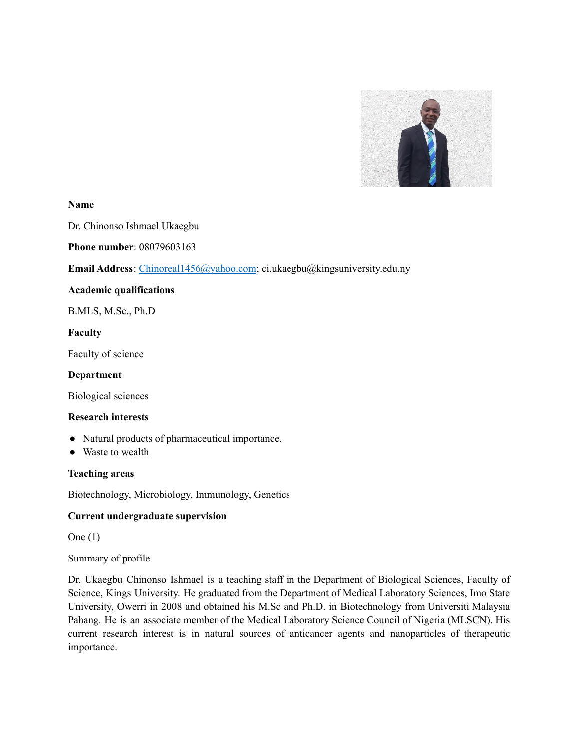

#### **Name**

Dr. Chinonso Ishmael Ukaegbu

**Phone number**: 08079603163

**Email Address**: [Chinoreal1456@yahoo.com;](mailto:Chinoreal1456@yahoo.com) ci.ukaegbu@kingsuniversity.edu.ny

#### **Academic qualifications**

B.MLS, M.Sc., Ph.D

#### **Faculty**

Faculty of science

#### **Department**

Biological sciences

#### **Research interests**

- Natural products of pharmaceutical importance.
- Waste to wealth

### **Teaching areas**

Biotechnology, Microbiology, Immunology, Genetics

#### **Current undergraduate supervision**

One (1)

Summary of profile

Dr. Ukaegbu Chinonso Ishmael is a teaching staff in the Department of Biological Sciences, Faculty of Science, Kings University. He graduated from the Department of Medical Laboratory Sciences, Imo State University, Owerri in 2008 and obtained his M.Sc and Ph.D. in Biotechnology from Universiti Malaysia Pahang. He is an associate member of the Medical Laboratory Science Council of Nigeria (MLSCN). His current research interest is in natural sources of anticancer agents and nanoparticles of therapeutic importance.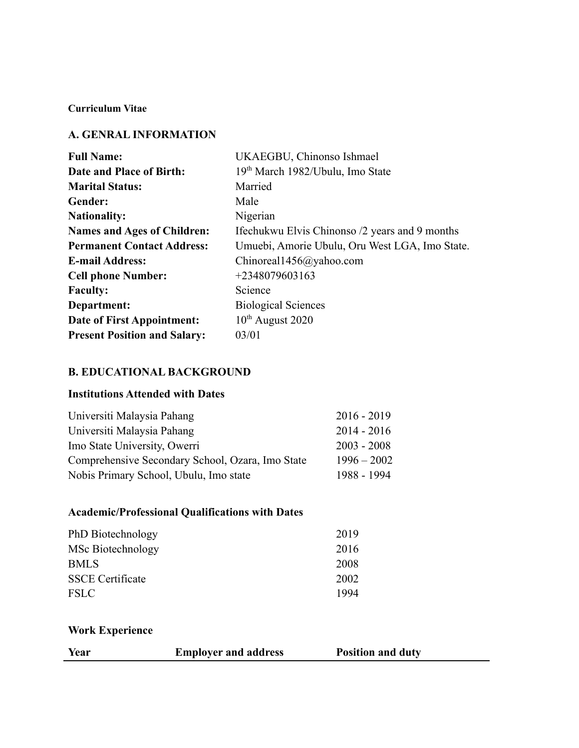### **Curriculum Vitae**

# **A. GENRAL INFORMATION**

| <b>Full Name:</b>                   | UKAEGBU, Chinonso Ishmael                      |
|-------------------------------------|------------------------------------------------|
| Date and Place of Birth:            | 19th March 1982/Ubulu, Imo State               |
| <b>Marital Status:</b>              | Married                                        |
| Gender:                             | Male                                           |
| <b>Nationality:</b>                 | Nigerian                                       |
| <b>Names and Ages of Children:</b>  | Ifechukwu Elvis Chinonso /2 years and 9 months |
| <b>Permanent Contact Address:</b>   | Umuebi, Amorie Ubulu, Oru West LGA, Imo State. |
| <b>E-mail Address:</b>              | Chinoreal1456@yahoo.com                        |
| <b>Cell phone Number:</b>           | $+2348079603163$                               |
| <b>Faculty:</b>                     | Science                                        |
| Department:                         | <b>Biological Sciences</b>                     |
| Date of First Appointment:          | $10^{th}$ August 2020                          |
| <b>Present Position and Salary:</b> | 03/01                                          |

# **B. EDUCATIONAL BACKGROUND**

# **Institutions Attended with Dates**

| Universiti Malaysia Pahang                       | $2016 - 2019$ |
|--------------------------------------------------|---------------|
| Universiti Malaysia Pahang                       | $2014 - 2016$ |
| Imo State University, Owerri                     | $2003 - 2008$ |
| Comprehensive Secondary School, Ozara, Imo State | $1996 - 2002$ |
| Nobis Primary School, Ubulu, Imo state           | 1988 - 1994   |

# **Academic/Professional Qualifications with Dates**

| PhD Biotechnology       | 2019 |
|-------------------------|------|
| MSc Biotechnology       | 2016 |
| <b>BMLS</b>             | 2008 |
| <b>SSCE</b> Certificate | 2002 |
| <b>FSLC</b>             | 1994 |

# **Work Experience**

| Year<br><b>Position and duty</b><br><b>Employer and address</b> |
|-----------------------------------------------------------------|
|-----------------------------------------------------------------|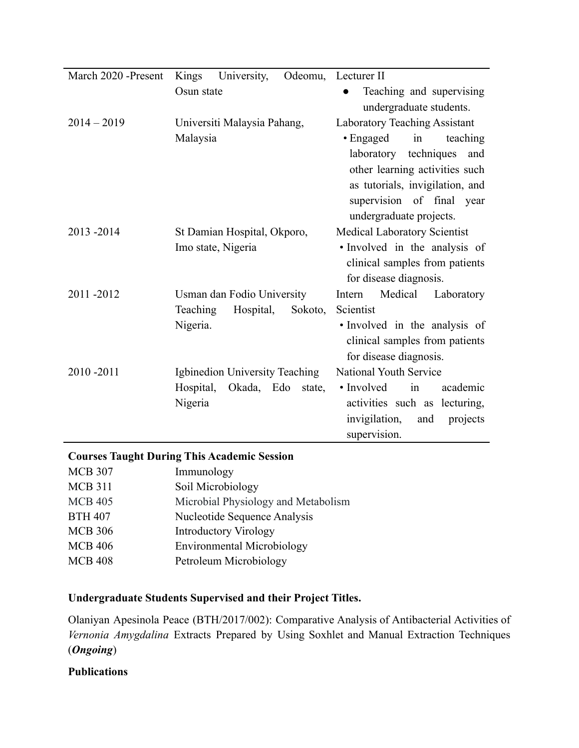| March 2020 -Present | Kings<br>University,              | Odeomu, Lecturer II                  |
|---------------------|-----------------------------------|--------------------------------------|
|                     | Osun state                        |                                      |
|                     |                                   | Teaching and supervising             |
|                     |                                   | undergraduate students.              |
| $2014 - 2019$       | Universiti Malaysia Pahang,       | <b>Laboratory Teaching Assistant</b> |
|                     | Malaysia                          | $\bullet$ Engaged<br>teaching<br>in  |
|                     |                                   | laboratory techniques<br>and         |
|                     |                                   | other learning activities such       |
|                     |                                   | as tutorials, invigilation, and      |
|                     |                                   | supervision of final year            |
|                     |                                   | undergraduate projects.              |
| 2013-2014           | St Damian Hospital, Okporo,       | Medical Laboratory Scientist         |
|                     | Imo state, Nigeria                | · Involved in the analysis of        |
|                     |                                   | clinical samples from patients       |
|                     |                                   | for disease diagnosis.               |
| 2011-2012           | Usman dan Fodio University        | Medical<br>Intern<br>Laboratory      |
|                     | Teaching<br>Hospital,<br>Sokoto,  | Scientist                            |
|                     | Nigeria.                          | • Involved in the analysis of        |
|                     |                                   | clinical samples from patients       |
|                     |                                   | for disease diagnosis.               |
| 2010-2011           | Igbinedion University Teaching    | National Youth Service               |
|                     | Hospital,<br>Okada, Edo<br>state, | • Involved<br>academic<br>in         |
|                     | Nigeria                           | activities such as lecturing,        |
|                     |                                   | invigilation,<br>and<br>projects     |
|                     |                                   | supervision.                         |

# **Courses Taught During This Academic Session**

| <b>MCB 307</b> | Immunology                          |
|----------------|-------------------------------------|
| <b>MCB 311</b> | Soil Microbiology                   |
| <b>MCB 405</b> | Microbial Physiology and Metabolism |
| <b>BTH 407</b> | Nucleotide Sequence Analysis        |
| <b>MCB 306</b> | <b>Introductory Virology</b>        |
| <b>MCB 406</b> | <b>Environmental Microbiology</b>   |
| <b>MCB 408</b> | Petroleum Microbiology              |

# **Undergraduate Students Supervised and their Project Titles.**

Olaniyan Apesinola Peace (BTH/2017/002): Comparative Analysis of Antibacterial Activities of *Vernonia Amygdalina* Extracts Prepared by Using Soxhlet and Manual Extraction Techniques (*Ongoing*)

# **Publications**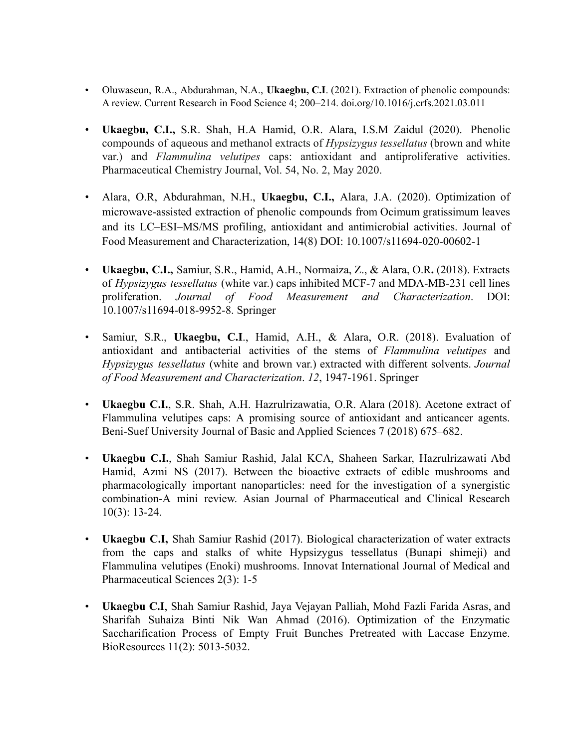- Oluwaseun, R.A., Abdurahman, N.A., **Ukaegbu, C.I**. (2021). Extraction of phenolic compounds: A review. Current Research in Food Science 4; 200–214. doi.org/10.1016/j.crfs.2021.03.011
- **Ukaegbu, C.I.,** S.R. Shah, H.A Hamid, O.R. Alara, I.S.M Zaidul (2020). Phenolic compounds of aqueous and methanol extracts of *Hypsizygus tessellatus* (brown and white var.) and *Flammulina velutipes* caps: antioxidant and antiproliferative activities. Pharmaceutical Chemistry Journal, Vol. 54, No. 2, May 2020.
- Alara, O.R, Abdurahman, N.H., **Ukaegbu, C.I.,** Alara, J.A. (2020). Optimization of microwave-assisted extraction of phenolic compounds from Ocimum gratissimum leaves and its LC–ESI–MS/MS profiling, antioxidant and antimicrobial activities. Journal of Food Measurement and Characterization, 14(8) DOI: 10.1007/s11694-020-00602-1
- **Ukaegbu, C.I.,** Samiur, S.R., Hamid, A.H., Normaiza, Z., & Alara, O.R**.** (2018). Extracts of *Hypsizygus tessellatus* (white var.) caps inhibited MCF-7 and MDA-MB-231 cell lines proliferation. *Journal of Food Measurement and Characterization*. DOI: 10.1007/s11694-018-9952-8. Springer
- Samiur, S.R., **Ukaegbu, C.I**., Hamid, A.H., & Alara, O.R. (2018). Evaluation of antioxidant and antibacterial activities of the stems of *Flammulina velutipes* and *Hypsizygus tessellatus* (white and brown var.) extracted with different solvents. *Journal of Food Measurement and Characterization*. *12*, 1947-1961. Springer
- **Ukaegbu C.I.**, S.R. Shah, A.H. Hazrulrizawatia, O.R. Alara (2018). Acetone extract of Flammulina velutipes caps: A promising source of antioxidant and anticancer agents. Beni-Suef University Journal of Basic and Applied Sciences 7 (2018) 675–682.
- **Ukaegbu C.I.**, Shah Samiur Rashid, Jalal KCA, Shaheen Sarkar, Hazrulrizawati Abd Hamid, Azmi NS (2017). Between the bioactive extracts of edible mushrooms and pharmacologically important nanoparticles: need for the investigation of a synergistic combination-A mini review. Asian Journal of Pharmaceutical and Clinical Research 10(3): 13-24.
- **Ukaegbu C.I,** Shah Samiur Rashid (2017). Biological characterization of water extracts from the caps and stalks of white Hypsizygus tessellatus (Bunapi shimeji) and Flammulina velutipes (Enoki) mushrooms. Innovat International Journal of Medical and Pharmaceutical Sciences 2(3): 1-5
- **Ukaegbu C.I**, Shah Samiur Rashid, Jaya Vejayan Palliah, Mohd Fazli Farida Asras, and Sharifah Suhaiza Binti Nik Wan Ahmad (2016). Optimization of the Enzymatic Saccharification Process of Empty Fruit Bunches Pretreated with Laccase Enzyme. BioResources 11(2): 5013-5032.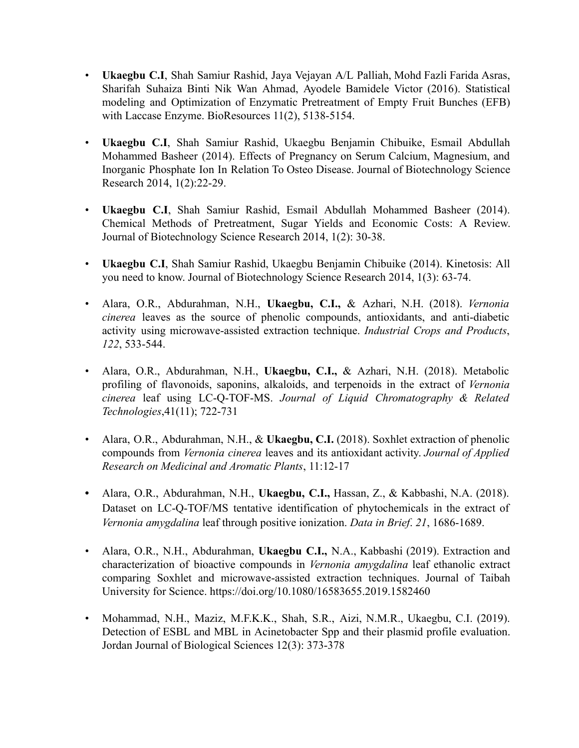- **Ukaegbu C.I**, Shah Samiur Rashid, Jaya Vejayan A/L Palliah, Mohd Fazli Farida Asras, Sharifah Suhaiza Binti Nik Wan Ahmad, Ayodele Bamidele Victor (2016). Statistical modeling and Optimization of Enzymatic Pretreatment of Empty Fruit Bunches (EFB) with Laccase Enzyme. BioResources 11(2), 5138-5154.
- **Ukaegbu C.I**, Shah Samiur Rashid, Ukaegbu Benjamin Chibuike, Esmail Abdullah Mohammed Basheer (2014). Effects of Pregnancy on Serum Calcium, Magnesium, and Inorganic Phosphate Ion In Relation To Osteo Disease. Journal of Biotechnology Science Research 2014, 1(2):22-29.
- **Ukaegbu C.I**, Shah Samiur Rashid, Esmail Abdullah Mohammed Basheer (2014). Chemical Methods of Pretreatment, Sugar Yields and Economic Costs: A Review. Journal of Biotechnology Science Research 2014, 1(2): 30-38.
- **Ukaegbu C.I**, Shah Samiur Rashid, Ukaegbu Benjamin Chibuike (2014). Kinetosis: All you need to know. Journal of Biotechnology Science Research 2014, 1(3): 63-74.
- Alara, O.R., Abdurahman, N.H., **Ukaegbu, C.I.,** & Azhari, N.H. (2018). *Vernonia cinerea* leaves as the source of phenolic compounds, antioxidants, and anti-diabetic activity using microwave-assisted extraction technique. *Industrial Crops and Products*, *122*, 533-544.
- Alara, O.R., Abdurahman, N.H., **Ukaegbu, C.I.,** & Azhari, N.H. (2018). Metabolic profiling of flavonoids, saponins, alkaloids, and terpenoids in the extract of *Vernonia cinerea* leaf using LC-Q-TOF-MS. *Journal of Liquid Chromatography & Related Technologies*,41(11); 722-731
- Alara, O.R., Abdurahman, N.H., & **Ukaegbu, C.I.** (2018). Soxhlet extraction of phenolic compounds from *Vernonia cinerea* leaves and its antioxidant activity. *Journal of Applied Research on Medicinal and Aromatic Plants*, 11:12-17
- **•** Alara, O.R., Abdurahman, N.H., **Ukaegbu, C.I.,** Hassan, Z., & Kabbashi, N.A. (2018). Dataset on LC-Q-TOF/MS tentative identification of phytochemicals in the extract of *Vernonia amygdalina* leaf through positive ionization. *Data in Brief*. *21*, 1686-1689.
- Alara, O.R., N.H., Abdurahman, **Ukaegbu C.I.,** N.A., Kabbashi (2019). Extraction and characterization of bioactive compounds in *Vernonia amygdalina* leaf ethanolic extract comparing Soxhlet and microwave-assisted extraction techniques. Journal of Taibah University for Science. https://doi.org/10.1080/16583655.2019.1582460
- Mohammad, N.H., Maziz, M.F.K.K., Shah, S.R., Aizi, N.M.R., Ukaegbu, C.I. (2019). Detection of ESBL and MBL in Acinetobacter Spp and their plasmid profile evaluation. Jordan Journal of Biological Sciences 12(3): 373-378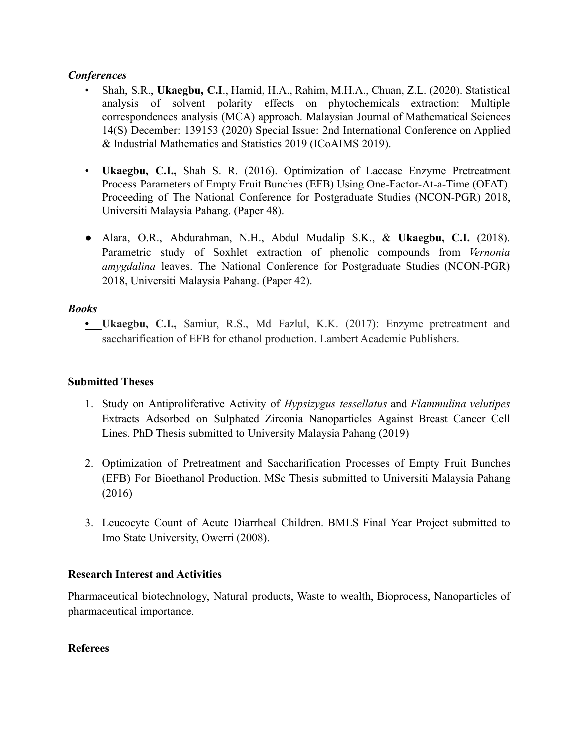### *Conferences*

- Shah, S.R., **Ukaegbu, C.I**., Hamid, H.A., Rahim, M.H.A., Chuan, Z.L. (2020). Statistical analysis of solvent polarity effects on phytochemicals extraction: Multiple correspondences analysis (MCA) approach. Malaysian Journal of Mathematical Sciences 14(S) December: 139153 (2020) Special Issue: 2nd International Conference on Applied & Industrial Mathematics and Statistics 2019 (ICoAIMS 2019).
- **Ukaegbu, C.I.,** Shah S. R. (2016). Optimization of Laccase Enzyme Pretreatment Process Parameters of Empty Fruit Bunches (EFB) Using One-Factor-At-a-Time (OFAT). Proceeding of The National Conference for Postgraduate Studies (NCON-PGR) 2018, Universiti Malaysia Pahang. (Paper 48).
- **●** Alara, O.R., Abdurahman, N.H., Abdul Mudalip S.K., & **Ukaegbu, C.I.** (2018). Parametric study of Soxhlet extraction of phenolic compounds from *Vernonia amygdalina* leaves. The National Conference for Postgraduate Studies (NCON-PGR) 2018, Universiti Malaysia Pahang. (Paper 42).

# *Books*

**• Ukaegbu, C.I.,** Samiur, R.S., Md Fazlul, K.K. (2017): Enzyme pretreatment and saccharification of EFB for ethanol production. Lambert Academic Publishers.

# **Submitted Theses**

- 1. Study on Antiproliferative Activity of *Hypsizygus tessellatus* and *Flammulina velutipes* Extracts Adsorbed on Sulphated Zirconia Nanoparticles Against Breast Cancer Cell Lines. PhD Thesis submitted to University Malaysia Pahang (2019)
- 2. Optimization of Pretreatment and Saccharification Processes of Empty Fruit Bunches (EFB) For Bioethanol Production. MSc Thesis submitted to Universiti Malaysia Pahang (2016)
- 3. Leucocyte Count of Acute Diarrheal Children. BMLS Final Year Project submitted to Imo State University, Owerri (2008).

# **Research Interest and Activities**

Pharmaceutical biotechnology, Natural products, Waste to wealth, Bioprocess, Nanoparticles of pharmaceutical importance.

### **Referees**